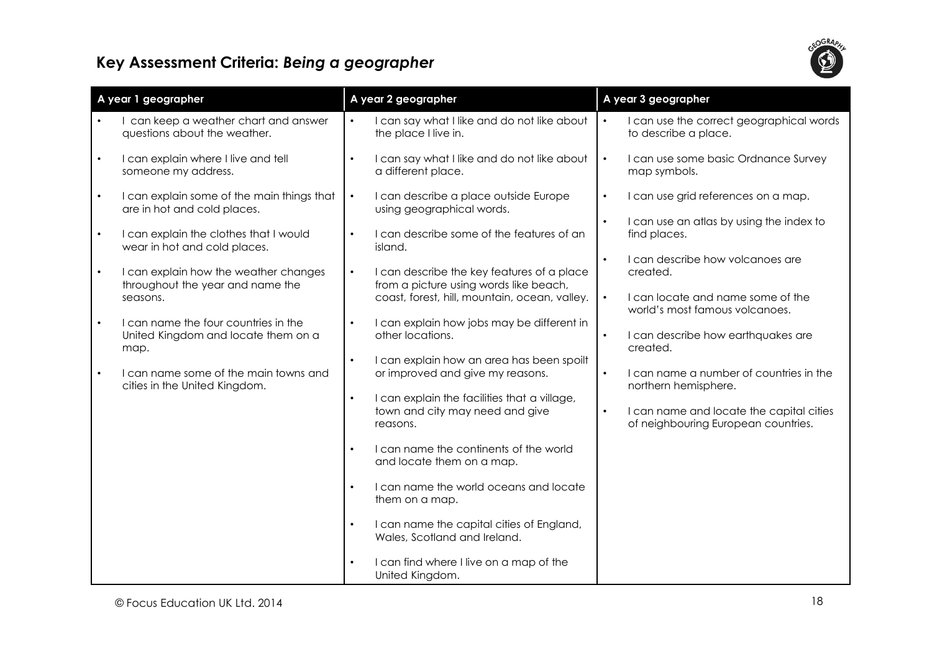

## Key Assessment Criteria: Being a geographer

| A year 1 geographer                                                                    | A year 2 geographer                                                                                                                                | A year 3 geographer                                                                          |
|----------------------------------------------------------------------------------------|----------------------------------------------------------------------------------------------------------------------------------------------------|----------------------------------------------------------------------------------------------|
| I can keep a weather chart and answer<br>questions about the weather.                  | I can say what I like and do not like about<br>the place I live in.                                                                                | I can use the correct geographical words<br>to describe a place.                             |
| I can explain where I live and tell<br>$\bullet$<br>someone my address.                | I can say what I like and do not like about<br>$\bullet$<br>a different place.                                                                     | I can use some basic Ordnance Survey<br>$\bullet$<br>map symbols.                            |
| I can explain some of the main things that<br>$\bullet$<br>are in hot and cold places. | I can describe a place outside Europe<br>$\bullet$<br>using geographical words.                                                                    | I can use grid references on a map.<br>$\bullet$<br>I can use an atlas by using the index to |
| I can explain the clothes that I would<br>wear in hot and cold places.                 | I can describe some of the features of an<br>$\bullet$<br>island.                                                                                  | find places.                                                                                 |
| I can explain how the weather changes<br>throughout the year and name the              | I can describe the key features of a place<br>$\bullet$<br>from a picture using words like beach,<br>coast, forest, hill, mountain, ocean, valley. | I can describe how volcanoes are<br>created.<br>I can locate and name some of the            |
| seasons.<br>I can name the four countries in the<br>$\bullet$                          | I can explain how jobs may be different in<br>$\bullet$                                                                                            | world's most famous volcanoes.                                                               |
| United Kingdom and locate them on a<br>map.                                            | other locations.                                                                                                                                   | I can describe how earthquakes are<br>$\bullet$<br>created.                                  |
| I can name some of the main towns and<br>cities in the United Kingdom.                 | I can explain how an area has been spoilt<br>$\bullet$<br>or improved and give my reasons.                                                         | I can name a number of countries in the<br>northern hemisphere.                              |
|                                                                                        | I can explain the facilities that a village,<br>$\bullet$<br>town and city may need and give<br>reasons.                                           | I can name and locate the capital cities<br>$\bullet$<br>of neighbouring European countries. |
|                                                                                        | I can name the continents of the world<br>$\bullet$<br>and locate them on a map.                                                                   |                                                                                              |
|                                                                                        | I can name the world oceans and locate<br>$\bullet$<br>them on a map.                                                                              |                                                                                              |
|                                                                                        | I can name the capital cities of England,<br>$\bullet$<br>Wales, Scotland and Ireland.                                                             |                                                                                              |
|                                                                                        | I can find where I live on a map of the<br>United Kingdom.                                                                                         |                                                                                              |